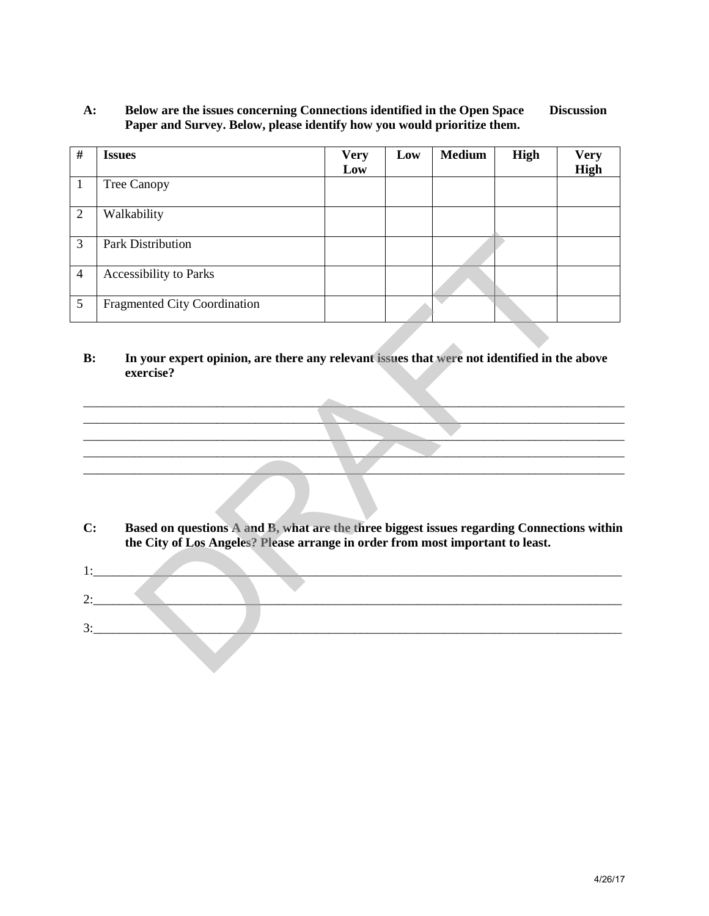### **A: Below are the issues concerning Connections identified in the Open Space Discussion Paper and Survey. Below, please identify how you would prioritize them.**

| #              | <b>Issues</b>                                                                                                                                                                | <b>Very</b><br>Low | Low | <b>Medium</b> | <b>High</b> | <b>Very</b><br>High |
|----------------|------------------------------------------------------------------------------------------------------------------------------------------------------------------------------|--------------------|-----|---------------|-------------|---------------------|
| $\mathbf{1}$   | Tree Canopy                                                                                                                                                                  |                    |     |               |             |                     |
| $\overline{2}$ | Walkability                                                                                                                                                                  |                    |     |               |             |                     |
| $\overline{3}$ | <b>Park Distribution</b>                                                                                                                                                     |                    |     |               |             |                     |
| $\overline{4}$ | <b>Accessibility to Parks</b>                                                                                                                                                |                    |     |               |             |                     |
| 5              | <b>Fragmented City Coordination</b>                                                                                                                                          |                    |     |               |             |                     |
| B:             | In your expert opinion, are there any relevant issues that were not identified in the above<br>exercise?                                                                     |                    |     |               |             |                     |
|                |                                                                                                                                                                              |                    |     |               |             |                     |
|                |                                                                                                                                                                              |                    |     |               |             |                     |
| C:             | Based on questions A and B, what are the three biggest issues regarding Connections within<br>the City of Los Angeles? Please arrange in order from most important to least. |                    |     |               |             |                     |
|                | $1:$ $\qquad \qquad$                                                                                                                                                         |                    |     |               |             |                     |
|                | 2:                                                                                                                                                                           |                    |     |               |             |                     |
| 3:             |                                                                                                                                                                              |                    |     |               |             |                     |
|                |                                                                                                                                                                              |                    |     |               |             |                     |

#### **B: In your expert opinion, are there any relevant issues that were not identified in the above exercise?**

- **C: Based on questions A and B, what are the three biggest issues regarding Connections within the City of Los Angeles? Please arrange in order from most important to least.**
- $1:$   $\blacksquare$ 2:\_\_\_\_\_\_\_\_\_\_\_\_\_\_\_\_\_\_\_\_\_\_\_\_\_\_\_\_\_\_\_\_\_\_\_\_\_\_\_\_\_\_\_\_\_\_\_\_\_\_\_\_\_\_\_\_\_\_\_\_\_\_\_\_\_\_\_\_\_\_\_\_\_\_\_\_\_\_\_\_\_\_\_  $3:$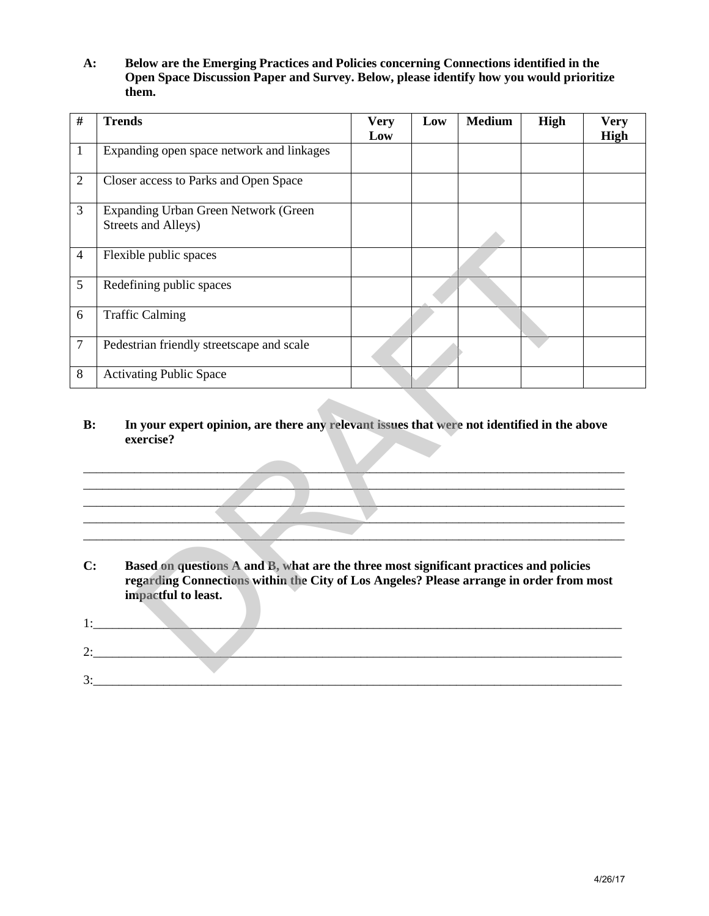**A: Below are the Emerging Practices and Policies concerning Connections identified in the Open Space Discussion Paper and Survey. Below, please identify how you would prioritize them.**

| #              | <b>Trends</b>                                                                                                                                                                                            | <b>Very</b><br>Low | Low | <b>Medium</b> | <b>High</b> | <b>Very</b><br>High |
|----------------|----------------------------------------------------------------------------------------------------------------------------------------------------------------------------------------------------------|--------------------|-----|---------------|-------------|---------------------|
| 1              | Expanding open space network and linkages                                                                                                                                                                |                    |     |               |             |                     |
| $\overline{2}$ | Closer access to Parks and Open Space                                                                                                                                                                    |                    |     |               |             |                     |
| $\overline{3}$ | Expanding Urban Green Network (Green<br>Streets and Alleys)                                                                                                                                              |                    |     |               |             |                     |
| $\overline{4}$ | Flexible public spaces                                                                                                                                                                                   |                    |     |               |             |                     |
| 5              | Redefining public spaces                                                                                                                                                                                 |                    |     |               |             |                     |
| 6              | <b>Traffic Calming</b>                                                                                                                                                                                   |                    |     |               |             |                     |
| $\overline{7}$ | Pedestrian friendly streetscape and scale                                                                                                                                                                |                    |     |               |             |                     |
| 8              | <b>Activating Public Space</b>                                                                                                                                                                           |                    |     |               |             |                     |
| B:             | In your expert opinion, are there any relevant issues that were not identified in the above<br>exercise?                                                                                                 |                    |     |               |             |                     |
|                |                                                                                                                                                                                                          |                    |     |               |             |                     |
|                |                                                                                                                                                                                                          |                    |     |               |             |                     |
| C:             | Based on questions A and B, what are the three most significant practices and policies<br>regarding Connections within the City of Los Angeles? Please arrange in order from most<br>impactful to least. |                    |     |               |             |                     |
| 1:             | <b>Contract Contract</b>                                                                                                                                                                                 |                    |     |               |             |                     |

## **B: In your expert opinion, are there any relevant issues that were not identified in the above exercise?**



| <u>.</u>                 |  |
|--------------------------|--|
| $\overline{\phantom{a}}$ |  |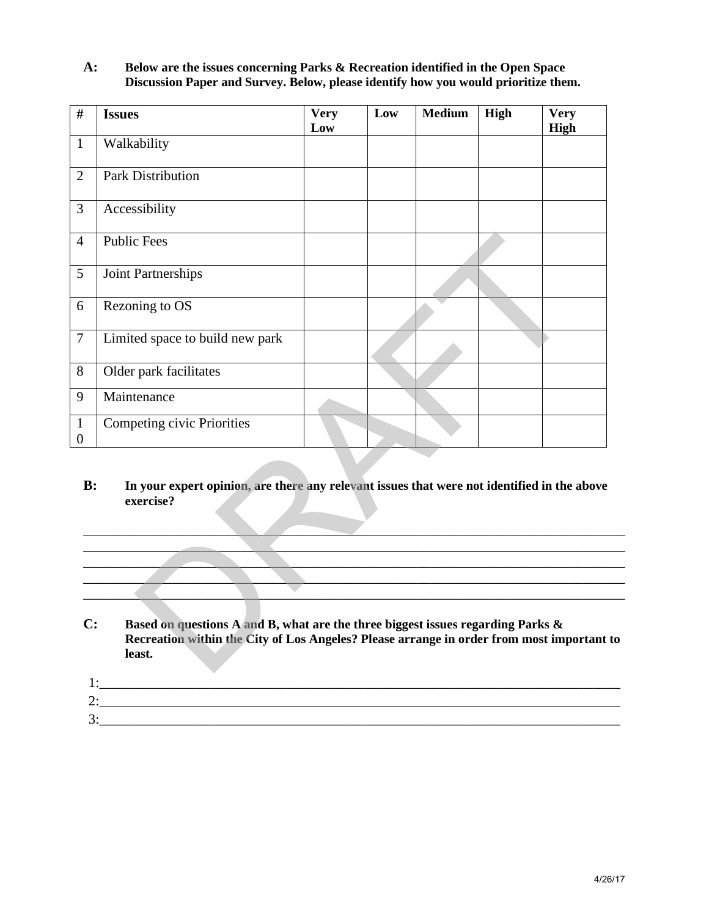# **A: Below are the issues concerning Parks & Recreation identified in the Open Space Discussion Paper and Survey. Below, please identify how you would prioritize them.**

| $\#$                             | <b>Issues</b>                                                                                                                                                                                           | <b>Very</b><br>Low | Low | <b>Medium</b> | High | <b>Very</b><br>High |
|----------------------------------|---------------------------------------------------------------------------------------------------------------------------------------------------------------------------------------------------------|--------------------|-----|---------------|------|---------------------|
| $\mathbf{1}$                     | Walkability                                                                                                                                                                                             |                    |     |               |      |                     |
| $\overline{2}$                   | <b>Park Distribution</b>                                                                                                                                                                                |                    |     |               |      |                     |
| 3                                | Accessibility                                                                                                                                                                                           |                    |     |               |      |                     |
| $\overline{4}$                   | <b>Public Fees</b>                                                                                                                                                                                      |                    |     |               |      |                     |
| 5                                | Joint Partnerships                                                                                                                                                                                      |                    |     |               |      |                     |
| 6                                | Rezoning to OS                                                                                                                                                                                          |                    |     |               |      |                     |
| $\boldsymbol{7}$                 | Limited space to build new park                                                                                                                                                                         |                    |     |               |      |                     |
| 8                                | Older park facilitates                                                                                                                                                                                  |                    |     |               |      |                     |
| 9                                | Maintenance                                                                                                                                                                                             |                    |     |               |      |                     |
| $\mathbf{1}$<br>$\boldsymbol{0}$ | Competing civic Priorities                                                                                                                                                                              |                    |     |               |      |                     |
|                                  |                                                                                                                                                                                                         |                    |     |               |      |                     |
| $\mathbf{C}$ :                   | Based on questions A and B, what are the three biggest issues regarding Parks &<br>Recreation within the City of Los Angeles? Please arrange in order from most important to<br>least.<br>$\frac{1}{2}$ |                    |     |               |      |                     |
|                                  | $\frac{3}{2}$                                                                                                                                                                                           |                    |     |               |      |                     |
|                                  |                                                                                                                                                                                                         |                    |     |               |      | 4/26/17             |

## **B: In your expert opinion, are there any relevant issues that were not identified in the above exercise?**

# **C: Based on questions A and B, what are the three biggest issues regarding Parks & Recreation within the City of Los Angeles? Please arrange in order from most important to least.**

| $\overline{\phantom{0}}$ |  |  |
|--------------------------|--|--|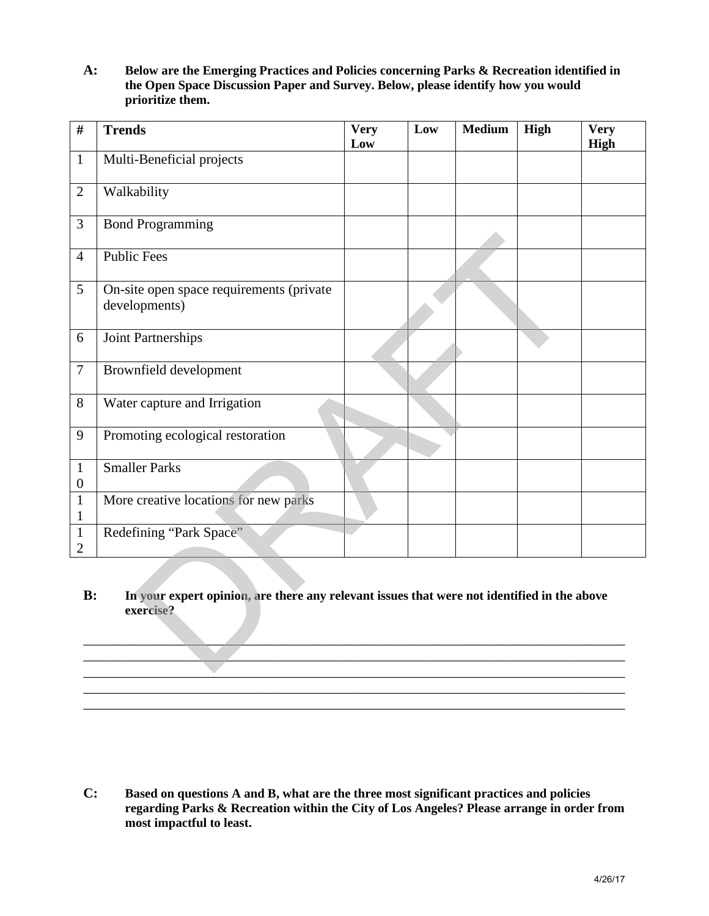**A: Below are the Emerging Practices and Policies concerning Parks & Recreation identified in the Open Space Discussion Paper and Survey. Below, please identify how you would prioritize them.**

| $\#$                             | <b>Trends</b>                                                                                                                                                                                                   | <b>Very</b><br>Low | Low | <b>Medium</b> | High | <b>Very</b><br><b>High</b> |
|----------------------------------|-----------------------------------------------------------------------------------------------------------------------------------------------------------------------------------------------------------------|--------------------|-----|---------------|------|----------------------------|
| $\mathbf{1}$                     | Multi-Beneficial projects                                                                                                                                                                                       |                    |     |               |      |                            |
| $\overline{2}$                   | Walkability                                                                                                                                                                                                     |                    |     |               |      |                            |
| 3                                | <b>Bond Programming</b>                                                                                                                                                                                         |                    |     |               |      |                            |
| $\overline{4}$                   | <b>Public Fees</b>                                                                                                                                                                                              |                    |     |               |      |                            |
| 5                                | On-site open space requirements (private<br>developments)                                                                                                                                                       |                    |     |               |      |                            |
| 6                                | Joint Partnerships                                                                                                                                                                                              |                    |     |               |      |                            |
| $\overline{7}$                   | Brownfield development                                                                                                                                                                                          |                    |     |               |      |                            |
| 8                                | Water capture and Irrigation                                                                                                                                                                                    |                    |     |               |      |                            |
| 9                                | Promoting ecological restoration                                                                                                                                                                                |                    |     |               |      |                            |
| $\mathbf{1}$<br>$\boldsymbol{0}$ | <b>Smaller Parks</b>                                                                                                                                                                                            |                    |     |               |      |                            |
| $\mathbf{1}$<br>1                | More creative locations for new parks                                                                                                                                                                           |                    |     |               |      |                            |
| $\mathbf{1}$<br>$\mathbf{2}$     | Redefining "Park Space"                                                                                                                                                                                         |                    |     |               |      |                            |
| B:                               | In your expert opinion, are there any relevant issues that were not identified in the above<br>exercise?                                                                                                        |                    |     |               |      |                            |
| C:                               | Based on questions A and B, what are the three most significant practices and policies<br>regarding Parks & Recreation within the City of Los Angeles? Please arrange in order from<br>most impactful to least. |                    |     |               |      | 4/26/17                    |

### **B: In your expert opinion, are there any relevant issues that were not identified in the above exercise?**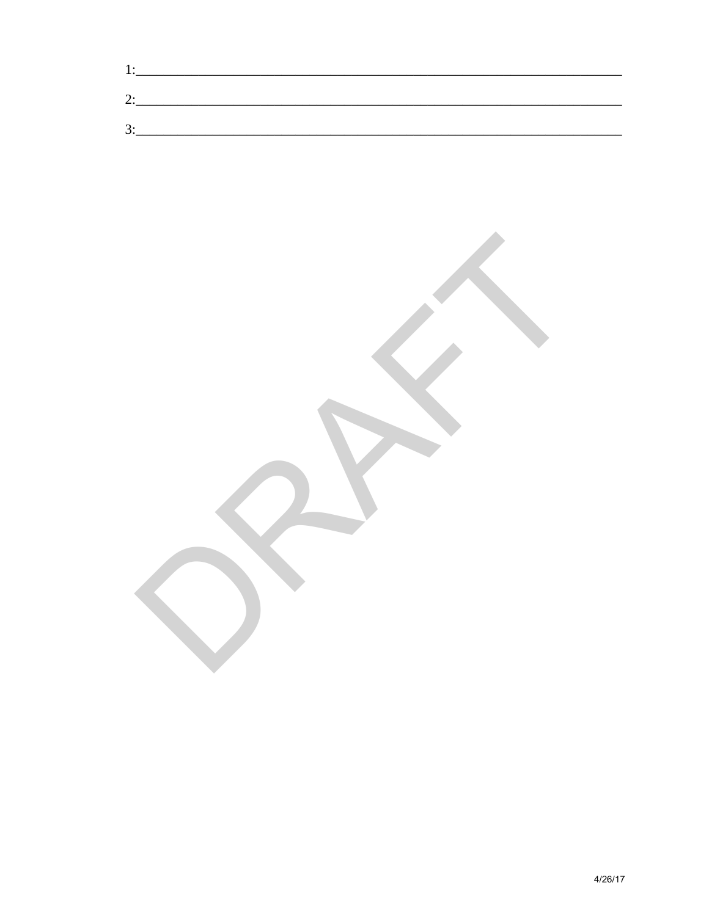| <u>.</u>      |  |  |  |
|---------------|--|--|--|
| ⌒<br><u>.</u> |  |  |  |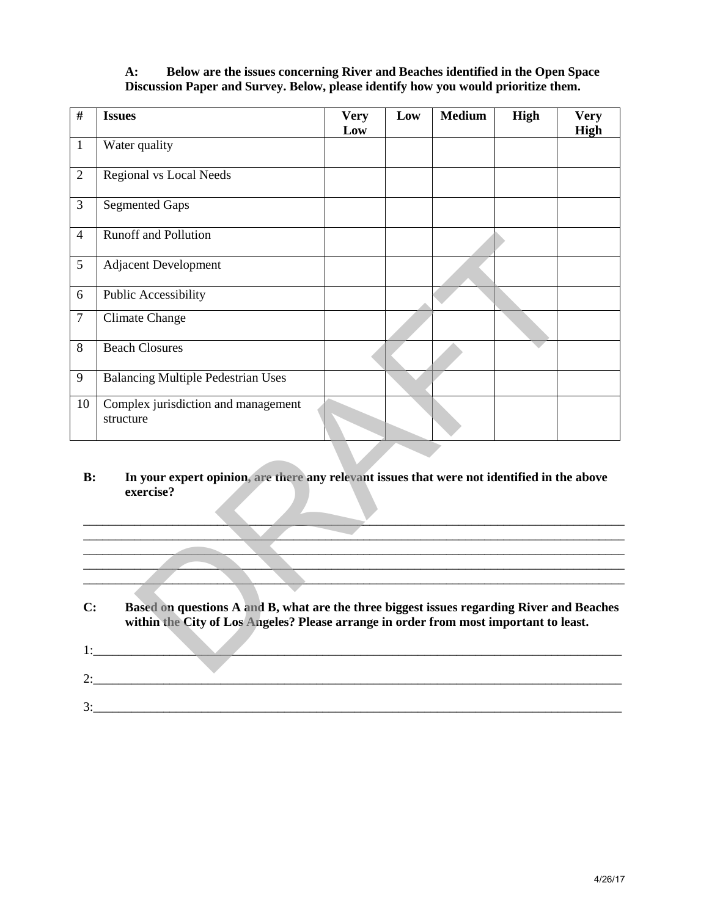## **A: Below are the issues concerning River and Beaches identified in the Open Space Discussion Paper and Survey. Below, please identify how you would prioritize them.**

| $\overline{\#}$ | <b>Issues</b>                                                                                                                                                                      | <b>Very</b><br>Low | Low | <b>Medium</b> | High | <b>Very</b><br><b>High</b> |
|-----------------|------------------------------------------------------------------------------------------------------------------------------------------------------------------------------------|--------------------|-----|---------------|------|----------------------------|
| $\mathbf{1}$    | Water quality                                                                                                                                                                      |                    |     |               |      |                            |
| $\sqrt{2}$      | <b>Regional vs Local Needs</b>                                                                                                                                                     |                    |     |               |      |                            |
| 3               | <b>Segmented Gaps</b>                                                                                                                                                              |                    |     |               |      |                            |
| $\overline{4}$  | <b>Runoff</b> and Pollution                                                                                                                                                        |                    |     |               |      |                            |
| 5               | <b>Adjacent Development</b>                                                                                                                                                        |                    |     |               |      |                            |
| 6               | Public Accessibility                                                                                                                                                               |                    |     |               |      |                            |
| $\tau$          | <b>Climate Change</b>                                                                                                                                                              |                    |     |               |      |                            |
| $8\,$           | <b>Beach Closures</b>                                                                                                                                                              |                    |     |               |      |                            |
| 9               | <b>Balancing Multiple Pedestrian Uses</b>                                                                                                                                          |                    |     |               |      |                            |
| 10              | Complex jurisdiction and management<br>structure                                                                                                                                   |                    |     |               |      |                            |
|                 |                                                                                                                                                                                    |                    |     |               |      |                            |
| C:              | Based on questions A and B, what are the three biggest issues regarding River and Beaches<br>within the City of Los Angeles? Please arrange in order from most important to least. |                    |     |               |      |                            |
|                 | $1:$ $\qquad \qquad$                                                                                                                                                               |                    |     |               |      |                            |
|                 | 2:                                                                                                                                                                                 |                    |     |               |      |                            |
|                 | 3:                                                                                                                                                                                 |                    |     |               |      |                            |
|                 |                                                                                                                                                                                    |                    |     |               |      |                            |
|                 |                                                                                                                                                                                    |                    |     |               |      |                            |
|                 |                                                                                                                                                                                    |                    |     |               |      |                            |
|                 |                                                                                                                                                                                    |                    |     |               |      |                            |
|                 |                                                                                                                                                                                    |                    |     |               |      |                            |
|                 |                                                                                                                                                                                    |                    |     |               |      |                            |

## **B: In your expert opinion, are there any relevant issues that were not identified in the above exercise?**

| C:          | Based on questions A and B, what are the three biggest issues regarding River and Beaches<br>within the City of Los Angeles? Please arrange in order from most important to least. |
|-------------|------------------------------------------------------------------------------------------------------------------------------------------------------------------------------------|
| $1 \cdot$   |                                                                                                                                                                                    |
| $2^{\cdot}$ |                                                                                                                                                                                    |
| 3:          |                                                                                                                                                                                    |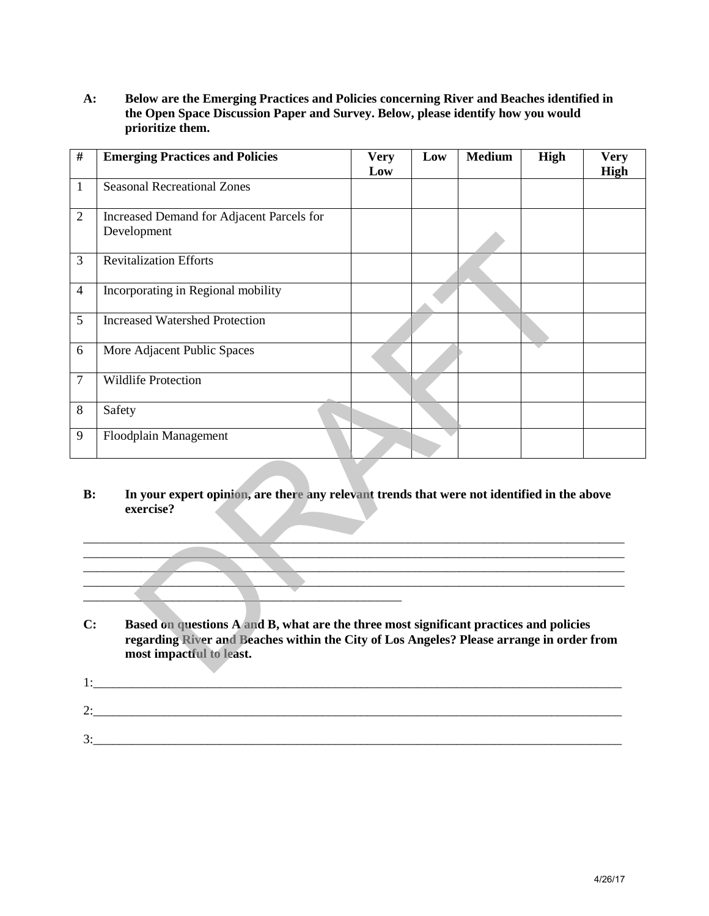**A: Below are the Emerging Practices and Policies concerning River and Beaches identified in the Open Space Discussion Paper and Survey. Below, please identify how you would prioritize them.**

| $\#$           | <b>Emerging Practices and Policies</b>                                                                                                                                                                         | <b>Very</b><br>Low | Low | <b>Medium</b> | High | <b>Very</b><br>High |
|----------------|----------------------------------------------------------------------------------------------------------------------------------------------------------------------------------------------------------------|--------------------|-----|---------------|------|---------------------|
| $\mathbf{1}$   | <b>Seasonal Recreational Zones</b>                                                                                                                                                                             |                    |     |               |      |                     |
| $\overline{2}$ | Increased Demand for Adjacent Parcels for<br>Development                                                                                                                                                       |                    |     |               |      |                     |
| 3              | <b>Revitalization Efforts</b>                                                                                                                                                                                  |                    |     |               |      |                     |
| $\overline{4}$ | Incorporating in Regional mobility                                                                                                                                                                             |                    |     |               |      |                     |
| 5              | <b>Increased Watershed Protection</b>                                                                                                                                                                          |                    |     |               |      |                     |
| 6              | More Adjacent Public Spaces                                                                                                                                                                                    |                    |     |               |      |                     |
| $\overline{7}$ | <b>Wildlife Protection</b>                                                                                                                                                                                     |                    |     |               |      |                     |
| 8              | Safety                                                                                                                                                                                                         |                    |     |               |      |                     |
| 9              | Floodplain Management                                                                                                                                                                                          |                    |     |               |      |                     |
| C:             | Based on questions A and B, what are the three most significant practices and policies<br>regarding River and Beaches within the City of Los Angeles? Please arrange in order from<br>most impactful to least. |                    |     |               |      |                     |
|                |                                                                                                                                                                                                                |                    |     |               |      |                     |
|                |                                                                                                                                                                                                                |                    |     |               |      |                     |
|                |                                                                                                                                                                                                                |                    |     |               |      |                     |
|                |                                                                                                                                                                                                                |                    |     |               |      | 4/26/17             |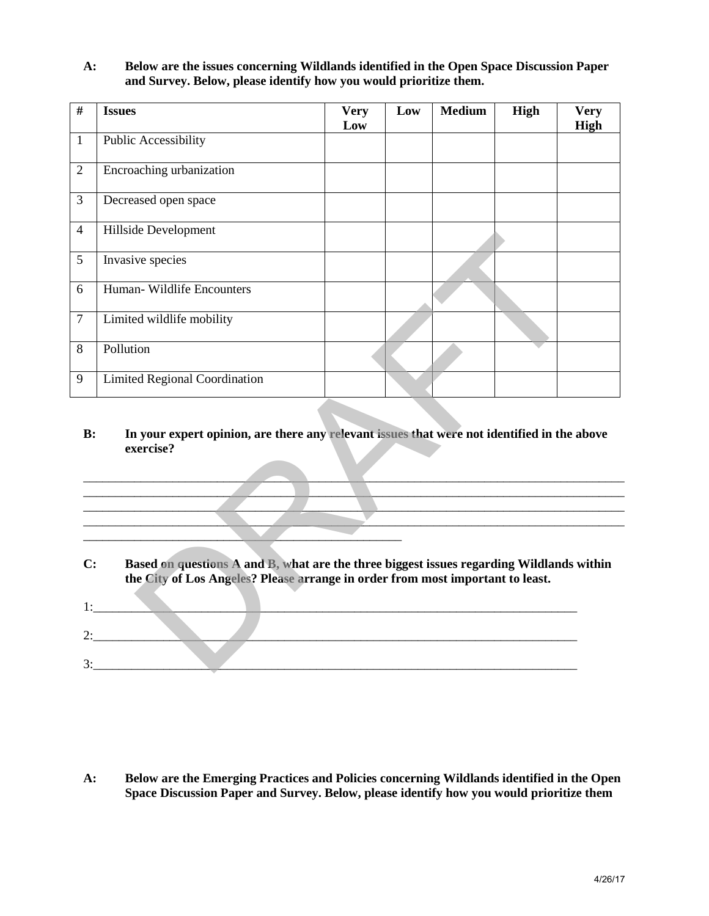**A: Below are the issues concerning Wildlands identified in the Open Space Discussion Paper and Survey. Below, please identify how you would prioritize them.**

| #              | <b>Issues</b>                                                                                                                                                                                                   | <b>Very</b><br>Low | Low | <b>Medium</b> | <b>High</b> | <b>Very</b><br><b>High</b> |
|----------------|-----------------------------------------------------------------------------------------------------------------------------------------------------------------------------------------------------------------|--------------------|-----|---------------|-------------|----------------------------|
| $\mathbf{1}$   | <b>Public Accessibility</b>                                                                                                                                                                                     |                    |     |               |             |                            |
| $\overline{2}$ | Encroaching urbanization                                                                                                                                                                                        |                    |     |               |             |                            |
| 3              | Decreased open space                                                                                                                                                                                            |                    |     |               |             |                            |
| $\overline{4}$ | Hillside Development                                                                                                                                                                                            |                    |     |               |             |                            |
| 5              | Invasive species                                                                                                                                                                                                |                    |     |               |             |                            |
| 6              | Human-Wildlife Encounters                                                                                                                                                                                       |                    |     |               |             |                            |
| $\overline{7}$ | Limited wildlife mobility                                                                                                                                                                                       |                    |     |               |             |                            |
| 8              | Pollution                                                                                                                                                                                                       |                    |     |               |             |                            |
| 9              | <b>Limited Regional Coordination</b>                                                                                                                                                                            |                    |     |               |             |                            |
| B:             | In your expert opinion, are there any relevant issues that were not identified in the above<br>exercise?                                                                                                        |                    |     |               |             |                            |
|                |                                                                                                                                                                                                                 |                    |     |               |             |                            |
| C:             | Based on questions A and B, what are the three biggest issues regarding Wildlands within<br>the City of Los Angeles? Please arrange in order from most important to least.<br>$1:$ $\qquad \qquad \qquad$<br>2: |                    |     |               |             |                            |
|                | 3:<br>the contract of the contract of the                                                                                                                                                                       |                    |     |               |             |                            |

| <u>.</u> |  |
|----------|--|
|          |  |
| ັ        |  |

**A: Below are the Emerging Practices and Policies concerning Wildlands identified in the Open Space Discussion Paper and Survey. Below, please identify how you would prioritize them**